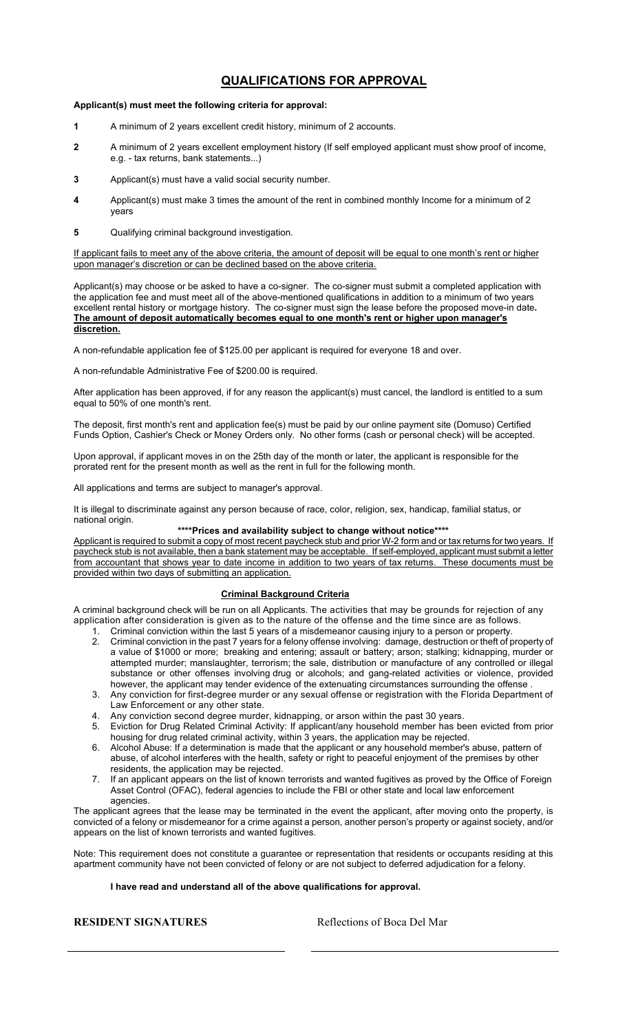# **QUALIFICATIONS FOR APPROVAL**

# **Applicant(s) must meet the following criteria for approval:**

- **1** A minimum of 2 years excellent credit history, minimum of 2 accounts.
- **2** A minimum of 2 years excellent employment history (If self employed applicant must show proof of income, e.g. - tax returns, bank statements...)
- **3** Applicant(s) must have a valid social security number.
- **4** Applicant(s) must make 3 times the amount of the rent in combined monthly Income for a minimum of 2 years
- **5** Qualifying criminal background investigation.

If applicant fails to meet any of the above criteria, the amount of deposit will be equal to one month's rent or higher upon manager's discretion or can be declined based on the above criteria.

Applicant(s) may choose or be asked to have a co-signer. The co-signer must submit a completed application with the application fee and must meet all of the above-mentioned qualifications in addition to a minimum of two years excellent rental history or mortgage history. The co-signer must sign the lease before the proposed move-in date**. The amount of deposit automatically becomes equal to one month's rent or higher upon manager's discretion.**

A non-refundable application fee of \$125.00 per applicant is required for everyone 18 and over.

A non-refundable Administrative Fee of \$200.00 is required.

After application has been approved, if for any reason the applicant(s) must cancel, the landlord is entitled to a sum equal to 50% of one month's rent.

The deposit, first month's rent and application fee(s) must be paid by our online payment site (Domuso) Certified Funds Option, Cashier's Check or Money Orders only. No other forms (cash or personal check) will be accepted.

Upon approval, if applicant moves in on the 25th day of the month or later, the applicant is responsible for the prorated rent for the present month as well as the rent in full for the following month.

All applications and terms are subject to manager's approval.

It is illegal to discriminate against any person because of race, color, religion, sex, handicap, familial status, or national origin.

#### **\*\*\*\*Prices and availability subject to change without notice\*\*\*\***

Applicant is required to submit a copy of most recent paycheck stub and prior W-2 form and or tax returns for two years. If paycheck stub is not available, then a bank statement may be acceptable. If self-employed, applicant must submit a letter from accountant that shows year to date income in addition to two years of tax returns. These documents must be provided within two days of submitting an application.

## **Criminal Background Criteria**

A criminal background check will be run on all Applicants. The activities that may be grounds for rejection of any application after consideration is given as to the nature of the offense and the time since are as follows.

- 1. Criminal conviction within the last 5 years of a misdemeanor causing injury to a person or property. 2. Criminal conviction in the past 7 years for a felony offense involving: damage, destruction or theft of property of a value of \$1000 or more; breaking and entering; assault or battery; arson; stalking; kidnapping, murder or attempted murder; manslaughter, terrorism; the sale, distribution or manufacture of any controlled or illegal
- substance or other offenses involving drug or alcohols; and gang-related activities or violence, provided however, the applicant may tender evidence of the extenuating circumstances surrounding the offense 3. Any conviction for first-degree murder or any sexual offense or registration with the Florida Department of
- Law Enforcement or any other state.
- Any conviction second degree murder, kidnapping, or arson within the past 30 years.
- 5. Eviction for Drug Related Criminal Activity: If applicant/any household member has been evicted from prior housing for drug related criminal activity, within 3 years, the application may be rejected.
- 6. Alcohol Abuse: If a determination is made that the applicant or any household member's abuse, pattern of abuse, of alcohol interferes with the health, safety or right to peaceful enjoyment of the premises by other residents, the application may be rejected.
- 7. If an applicant appears on the list of known terrorists and wanted fugitives as proved by the Office of Foreign Asset Control (OFAC), federal agencies to include the FBI or other state and local law enforcement agencies.

The applicant agrees that the lease may be terminated in the event the applicant, after moving onto the property, is convicted of a felony or misdemeanor for a crime against a person, another person's property or against society, and/or appears on the list of known terrorists and wanted fugitives.

Note: This requirement does not constitute a guarantee or representation that residents or occupants residing at this apartment community have not been convicted of felony or are not subject to deferred adjudication for a felony.

## **I have read and understand all of the above qualifications for approval.**

**RESIDENT SIGNATURES** Reflections of Boca Del Mar